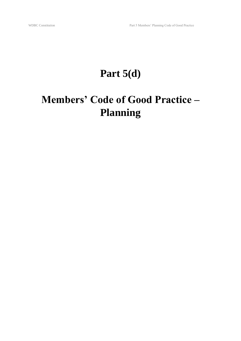# **Part 5(d)**

# **Members' Code of Good Practice – Planning**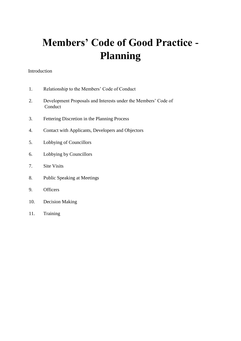# **Members' Code of Good Practice - Planning**

#### Introduction

- 1. Relationship to the Members' Code of Conduct
- 2. Development Proposals and Interests under the Members' Code of Conduct
- 3. Fettering Discretion in the Planning Process
- 4. Contact with Applicants, Developers and Objectors
- 5. Lobbying of Councillors
- 6. Lobbying by Councillors
- 7. Site Visits
- 8. Public Speaking at Meetings
- 9. Officers
- 10. Decision Making
- 11. Training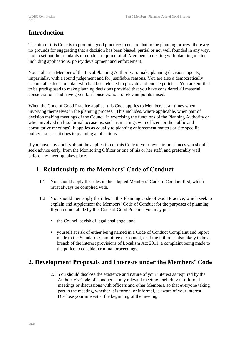# **Introduction**

The aim of this Code is to promote good practice: to ensure that in the planning process there are no grounds for suggesting that a decision has been biased, partial or not well founded in any way, and to set out the standards of conduct required of all Members in dealing with planning matters including applications, policy development and enforcement.

Your role as a Member of the Local Planning Authority: to make planning decisions openly, impartially, with a sound judgement and for justifiable reasons. You are also a democratically accountable decision taker who had been elected to provide and pursue policies. You are entitled to be predisposed to make planning decisions provided that you have considered all material considerations and have given fair consideration to relevant points raised.

When the Code of Good Practice applies: this Code applies to Members at all times when involving themselves in the planning process. (This includes, where applicable, when part of decision making meetings of the Council in exercising the functions of the Planning Authority or when involved on less formal occasions, such as meetings with officers or the public and consultative meetings). It applies as equally to planning enforcement matters or site specific policy issues as it does to planning applications.

If you have any doubts about the application of this Code to your own circumstances you should seek advice early, from the Monitoring Officer or one of his or her staff, and preferably well before any meeting takes place.

# **1. Relationship to the Members' Code of Conduct**

- 1.1 You should apply the rules in the adopted Members' Code of Conduct first, which must always be complied with.
- 1.2 You should then apply the rules in this Planning Code of Good Practice, which seek to explain and supplement the Members' Code of Conduct for the purposes of planning. If you do not abide by this Code of Good Practice, you may put:
	- the Council at risk of legal challenge; and
	- yourself at risk of either being named in a Code of Conduct Complaint and report made to the Standards Committee or Council, or if the failure is also likely to be a breach of the interest provisions of Localism Act 2011, a complaint being made to the police to consider criminal proceedings.

# **2. Development Proposals and Interests under the Members' Code**

2.1 You should disclose the existence and nature of your interest as required by the Authority's Code of Conduct, at any relevant meeting, including in informal meetings or discussions with officers and other Members, so that everyone taking part in the meeting, whether it is formal or informal, is aware of your interest. Disclose your interest at the beginning of the meeting.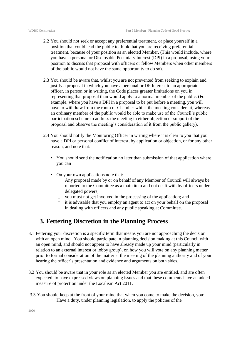- 2.2 You should not seek or accept any preferential treatment, or place yourself in a position that could lead the public to think that you are receiving preferential treatment, because of your position as an elected Member. (This would include, where you have a personal or Disclosable Pecuniary Interest (DPI) in a proposal, using your position to discuss that proposal with officers or fellow Members when other members of the public would not have the same opportunity to do so).
- 2.3 You should be aware that, whilst you are not prevented from seeking to explain and justify a proposal in which you have a personal or DP Interest to an appropriate officer, in person or in writing, the Code places greater limitations on you in representing that proposal than would apply to a normal member of the public. (For example, where you have a DPI in a proposal to be put before a meeting, you will have to withdraw from the room or Chamber whilst the meeting considers it, whereas an ordinary member of the public would be able to make use of the Council's public participation scheme to address the meeting in either objection or support of the proposal and observe the meeting's consideration of it from the public gallery).
- 2.4 You should notify the Monitoring Officer in writing where it is clear to you that you have a DPI or personal conflict of interest, by application or objection, or for any other reason, and note that:
	- You should send the notification no later than submission of that application where you can
	- On your own applications note that:
		- Any proposal made by or on behalf of any Member of Council will always be reported to the Committee as a main item and not dealt with by officers under delegated powers;
		- $\Box$ you must not get involved in the processing of the application; and
		- $\Box$  it is advisable that you employ an agent to act on your behalf on the proposal in dealing with officers and any public speaking at Committee.

#### **3. Fettering Discretion in the Planning Process**

- 3.1 Fettering your discretion is a specific term that means you are not approaching the decision with an open mind. You should participate in planning decision making at this Council with an open mind, and should not appear to have already made up your mind (particularly in relation to an external interest or lobby group), on how you will vote on any planning matter prior to formal consideration of the matter at the meeting of the planning authority and of your hearing the officer's presentation and evidence and arguments on both sides.
- 3.2 You should be aware that in your role as an elected Member you are entitled, and are often expected, to have expressed views on planning issues and that these comments have an added measure of protection under the Localism Act 2011.
- 3.3 You should keep at the front of your mind that when you come to make the decision, you:  $\Box$  Have a duty, under planning legislation, to apply the policies of the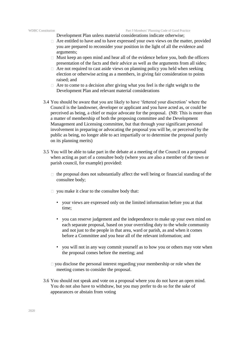#### WDBC Constitution Part 5 Members' Planning Code of Good Practice

Development Plan unless material considerations indicate otherwise;

- $\Box$  Are entitled to have and to have expressed your own views on the matter, provided you are prepared to reconsider your position in the light of all the evidence and arguments;
- $\Box$  Must keep an open mind and hear all of the evidence before you, both the officers presentation of the facts and their advice as well as the arguments from all sides;
- $\Box$  Are not required to cast aside views on planning policy you held when seeking election or otherwise acting as a members, in giving fair consideration to points raised; and
- $\Box$  Are to come to a decision after giving what you feel is the right weight to the Development Plan and relevant material considerations
- 3.4 You should be aware that you are likely to have 'fettered your discretion' where the Council is the landowner, developer or applicant and you have acted as, or could be perceived as being, a chief or major advocate for the proposal. (NB: This is more than a matter of membership of both the proposing committee and the Development Management and Licensing committee, but that through your significant personal involvement in preparing or advocating the proposal you will be, or perceived by the public as being, no longer able to act impartially or to determine the proposal purely on its planning merits)
- 3.5 You will be able to take part in the debate at a meeting of the Council on a proposal when acting as part of a consultee body (where you are also a member of the town or parish council, for example) provided:
	- $\Box$  the proposal does not substantially affect the well being or financial standing of the consultee body;
	- $\Box$  you make it clear to the consultee body that:
		- your views are expressed only on the limited information before you at that time;
		- you can reserve judgement and the independence to make up your own mind on each separate proposal, based on your overriding duty to the whole community and not just to the people in that area, ward or parish, as and when it comes before a Committee and you hear all of the relevant information; and
		- you will not in any way commit yourself as to how you or others may vote when the proposal comes before the meeting; and
	- $\Box$  you disclose the personal interest regarding your membership or role when the meeting comes to consider the proposal.
- 3.6 You should not speak and vote on a proposal where you do not have an open mind. You do not also have to withdraw, but you may prefer to do so for the sake of appearances or abstain from voting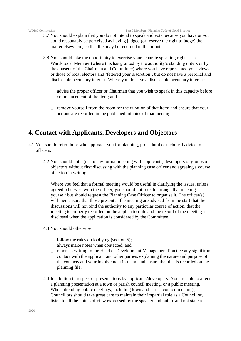#### WDBC Constitution Part 5 Members' Planning Code of Good Practice

- 3.7 You should explain that you do not intend to speak and vote because you have or you could reasonably be perceived as having judged (or reserve the right to judge) the matter elsewhere, so that this may be recorded in the minutes.
- 3.8 You should take the opportunity to exercise your separate speaking rights as a Ward/Local Member (where this has granted by the authority's standing orders or by the consent of the Chairman and Committee) where you have represented your views or those of local electors and 'fettered your discretion', but do not have a personal and disclosable pecuniary interest. Where you do have a disclosable pecuniary interest:
	- $\Box$  advise the proper officer or Chairman that you wish to speak in this capacity before commencement of the item; and
	- $\Box$  remove yourself from the room for the duration of that item; and ensure that your actions are recorded in the published minutes of that meeting.

#### **4. Contact with Applicants, Developers and Objectors**

- 4.1 You should refer those who approach you for planning, procedural or technical advice to officers.
	- 4.2 You should not agree to any formal meeting with applicants, developers or groups of objectors without first discussing with the planning case officer and agreeing a course of action in writing.

Where you feel that a formal meeting would be useful in clarifying the issues, unless agreed otherwise with the officer, you should not seek to arrange that meeting yourself but should request the Planning Case Officer to organise it. The officer(s) will then ensure that those present at the meeting are advised from the start that the discussions will not bind the authority to any particular course of action, that the meeting is properly recorded on the application file and the record of the meeting is disclosed when the application is considered by the Committee.

- 4.3 You should otherwise:
	- $\Box$  follow the rules on lobbying (section 5);
	- always make notes when contacted; and
	- $\Box$  report in writing to the Head of Development Management Practice any significant contact with the applicant and other parties, explaining the nature and purpose of the contacts and your involvement in them, and ensure that this is recorded on the planning file.
- 4.4 In addition in respect of presentations by applicants/developers: You are able to attend a planning presentation at a town or parish council meeting, or a public meeting. When attending public meetings, including town and parish council meetings, Councillors should take great care to maintain their impartial role as a Councillor, listen to all the points of view expressed by the speaker and public and not state a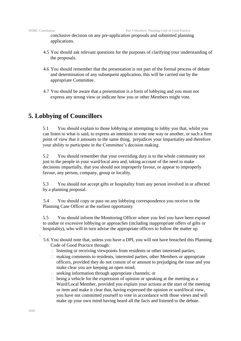conclusive decision on any pre-application proposals and submitted planning applications.

- 4.5 You should ask relevant questions for the purposes of clarifying your understanding of the proposals.
- 4.6 You should remember that the presentation is not part of the formal process of debate and determination of any subsequent application, this will be carried out by the appropriate Committee.
- 4.7 You should be aware that a presentation is a form of lobbying and you must not express any strong view or indicate how you or other Members might vote.

#### **5. Lobbying of Councillors**

5.1 You should explain to those lobbying or attempting to lobby you that, whilst you can listen to what is said, to express an intention to vote one way or another, or such a firm point of view that it amounts to the same thing, prejudices your impartiality and therefore your ability to participate in the Committee's decision making.

5.2 You should remember that your overriding duty is to the whole community not just to the people in your ward/local area and, taking account of the need to make decisions impartially, that you should not improperly favour, or appear to improperly favour, any person, company, group or locality.

5.3 You should not accept gifts or hospitality from any person involved in or affected by a planning proposal.

5.4 You should copy or pass on any lobbying correspondence you receive to the Planning Case Officer at the earliest opportunity

5.5 You should inform the Monitoring Officer where you feel you have been exposed to undue or excessive lobbying or approaches (including inappropriate offers of gifts or hospitality), who will in turn advise the appropriate officers to follow the matter up

- 5.6 You should note that, unless you have a DPI, you will not have breached this Planning Code of Good Practice through:
	- $\Box$  listening or receiving viewpoints from residents or other interested parties;
	- making comments to residents, interested parties, other Members or appropriate officers, provided they do not consist of or amount to prejudging the issue and you make clear you are keeping an open mind;
	- $\Box$  seeking information through appropriate channels; or
	- $\Box$  being a vehicle for the expression of opinion or speaking at the meeting as a Ward/Local Member, provided you explain your actions at the start of the meeting or item and make it clear that, having expressed the opinion or ward/local view, you have not committed yourself to vote in accordance with those views and will make up your own mind having heard all the facts and listened to the debate.

.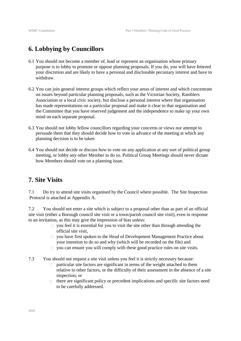## **6. Lobbying by Councillors**

- 6.1 You should not become a member of, lead or represent an organisation whose primary purpose is to lobby to promote or oppose planning proposals. If you do, you will have fettered your discretion and are likely to have a personal and disclosable pecuniary interest and have to withdraw.
- 6.2 You can join general interest groups which reflect your areas of interest and which concentrate on issues beyond particular planning proposals, such as the Victorian Society, Ramblers Association or a local civic society, but disclose a personal interest where that organisation has made representations on a particular proposal and make it clear to that organisation and the Committee that you have reserved judgement and the independence to make up your own mind on each separate proposal.
- 6.3 You should not lobby fellow councillors regarding your concerns or views nor attempt to persuade them that they should decide how to vote in advance of the meeting at which any planning decision is to be taken
- 6.4 You should not decide or discuss how to vote on any application at any sort of political group meeting, or lobby any other Member to do so. Political Group Meetings should never dictate how Members should vote on a planning issue.

### **7. Site Visits**

7.1 Do try to attend site visits organised by the Council where possible. The Site Inspection Protocol is attached at Appendix A.

7.2 You should not enter a site which is subject to a proposal other than as part of an official site visit (either a Borough council site visit or a town/parish council site visit), even in response to an invitation, as this may give the impression of bias unless:

- $\Box$  you feel it is essential for you to visit the site other than through attending the official site visit,
- you have first spoken to the Head of Development Management Practice about  $\Box$ your intention to do so and why (which will be recorded on the file) and
- $\Box$  you can ensure you will comply with these good practice rules on site visits.
- 7.3 You should not request a site visit unless you feel it is strictly necessary because:
	- particular site factors are significant in terms of the weight attached to them relative to other factors, or the difficulty of their assessment in the absence of a site inspection; or
	- there are significant policy or precedent implications and specific site factors need  $\Box$ to be carefully addressed.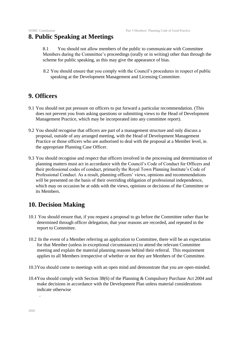#### **8. Public Speaking at Meetings**

8.1 You should not allow members of the public to communicate with Committee Members during the Committee's proceedings (orally or in writing) other than through the scheme for public speaking, as this may give the appearance of bias.

8.2 You should ensure that you comply with the Council's procedures in respect of public speaking at the Development Management and Licensing Committee.

#### **9. Officers**

- 9.1 You should not put pressure on officers to put forward a particular recommendation. (This does not prevent you from asking questions or submitting views to the Head of Development Management Practice, which may be incorporated into any committee report).
- 9.2 You should recognise that officers are part of a management structure and only discuss a proposal, outside of any arranged meeting, with the Head of Development Management Practice or those officers who are authorised to deal with the proposal at a Member level, ie. the appropriate Planning Case Officer.
- 9.3 You should recognise and respect that officers involved in the processing and determination of planning matters must act in accordance with the Council's Code of Conduct for Officers and their professional codes of conduct, primarily the Royal Town Planning Institute's Code of Professional Conduct. As a result, planning officers' views, opinions and recommendations will be presented on the basis of their overriding obligation of professional independence, which may on occasion be at odds with the views, opinions or decisions of the Committee or its Members.

### **10. Decision Making**

- 10.1 You should ensure that, if you request a proposal to go before the Committee rather than be determined through officer delegation, that your reasons are recorded, and repeated in the report to Committee.
- 10.2 In the event of a Member referring an application to Committee, there will be an expectation for that Member (unless in exceptional circumstances) to attend the relevant Committee meeting and explain the material planning reasons behind their referral. This requirement applies to all Members irrespective of whether or not they are Members of the Committee.
- 10.3You should come to meetings with an open mind and demonstrate that you are open-minded.
- 10.4You should comply with Section 38(6) of the Planning & Compulsory Purchase Act 2004 and make decisions in accordance with the Development Plan unless material considerations indicate otherwise

.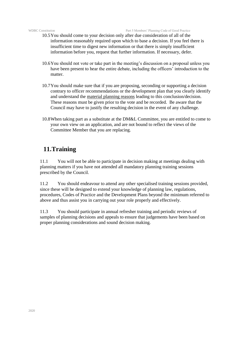WDBC Constitution Part 5 Members' Planning Code of Good Practice

- 10.5You should come to your decision only after due consideration of all of the information reasonably required upon which to base a decision. If you feel there is insufficient time to digest new information or that there is simply insufficient information before you, request that further information. If necessary, defer.
- 10.6You should not vote or take part in the meeting's discussion on a proposal unless you have been present to hear the entire debate, including the officers' introduction to the matter.
- 10.7You should make sure that if you are proposing, seconding or supporting a decision contrary to officer recommendations or the development plan that you clearly identify and understand the material planning reasons leading to this conclusion/decision. These reasons must be given prior to the vote and be recorded. Be aware that the Council may have to justify the resulting decision in the event of any challenge.
- 10.8When taking part as a substitute at the DM&L Committee, you are entitled to come to your own view on an application, and are not bound to reflect the views of the Committee Member that you are replacing.

## **11.Training**

11.1 You will not be able to participate in decision making at meetings dealing with planning matters if you have not attended all mandatory planning training sessions prescribed by the Council.

11.2 You should endeavour to attend any other specialised training sessions provided, since these will be designed to extend your knowledge of planning law, regulations, procedures, Codes of Practice and the Development Plans beyond the minimum referred to above and thus assist you in carrying out your role properly and effectively.

11.3 You should participate in annual refresher training and periodic reviews of samples of planning decisions and appeals to ensure that judgements have been based on proper planning considerations and sound decision making.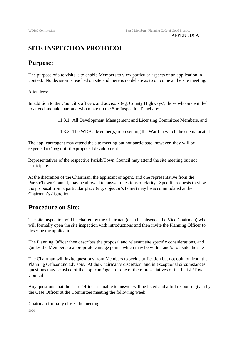#### APPENDIX A

### **SITE INSPECTION PROTOCOL**

#### **Purpose:**

The purpose of site visits is to enable Members to view particular aspects of an application in context. No decision is reached on site and there is no debate as to outcome at the site meeting.

#### Attendees:

In addition to the Council's officers and advisors (eg. County Highways), those who are entitled to attend and take part and who make up the Site Inspection Panel are:

11.3.1 All Development Management and Licensing Committee Members, and

11.3.2 The WDBC Member(s) representing the Ward in which the site is located

The applicant/agent may attend the site meeting but not participate, however, they will be expected to 'peg out' the proposed development.

Representatives of the respective Parish/Town Council may attend the site meeting but not participate.

At the discretion of the Chairman, the applicant or agent, and one representative from the Parish/Town Council, may be allowed to answer questions of clarity. Specific requests to view the proposal from a particular place (e.g. objector's home) may be accommodated at the Chairman's discretion.

#### **Procedure on Site:**

The site inspection will be chaired by the Chairman (or in his absence, the Vice Chairman) who will formally open the site inspection with introductions and then invite the Planning Officer to describe the application

The Planning Officer then describes the proposal and relevant site specific considerations, and guides the Members to appropriate vantage points which may be within and/or outside the site

The Chairman will invite questions from Members to seek clarification but not opinion from the Planning Officer and advisors. At the Chairman's discretion, and in exceptional circumstances, questions may be asked of the applicant/agent or one of the representatives of the Parish/Town Council

Any questions that the Case Officer is unable to answer will be listed and a full response given by the Case Officer at the Committee meeting the following week

Chairman formally closes the meeting